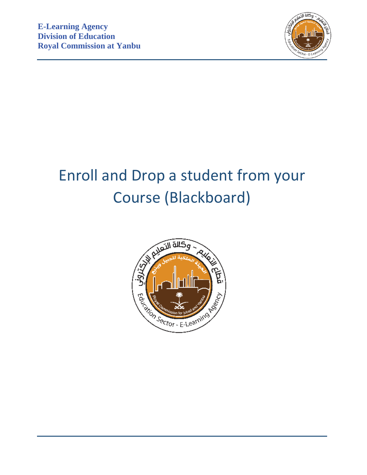

# Enroll and Drop a student from your Course (Blackboard)

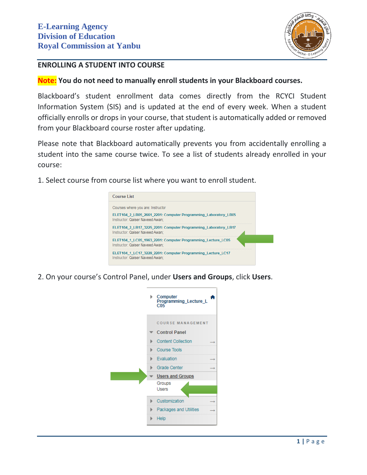

## **ENROLLING A STUDENT INTO COURSE**

#### **Note: You do not need to manually enroll students in your Blackboard courses.**

Blackboard's student enrollment data comes directly from the RCYCI Student Information System (SIS) and is updated at the end of every week. When a student officially enrolls or drops in your course, that student is automatically added or removed from your Blackboard course roster after updating.

Please note that Blackboard automatically prevents you from accidentally enrolling a student into the same course twice. To see a list of students already enrolled in your course:

1. Select course from course list where you want to enroll student.



2. On your course's Control Panel, under **Users and Groups**, click **Users**.

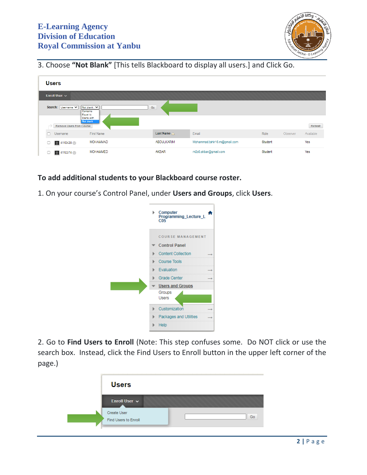

3. Choose **"Not Blank"** [This tells Blackboard to display all users.] and Click Go.

| <b>Users</b>                                              |                              |                              |                |          |           |
|-----------------------------------------------------------|------------------------------|------------------------------|----------------|----------|-----------|
| Enroll User $\sim$                                        |                              |                              |                |          |           |
| Search: Username v<br>Not blank V<br>Contains<br>Equal to | Go                           |                              |                |          |           |
| Starts with<br>Not blank<br>Remove Users from Course      |                              |                              |                |          | Refresh   |
| <b>First Name</b><br>Username                             | <b>Last Name</b> $\triangle$ | Email                        | Role           | Observer | Available |
| <b>MOHAMMAD</b><br>4110428<br>$\Box$                      | <b>ABDULKARIM</b>            | Mohammad.tahir16.m@gmail.com | <b>Student</b> |          | Yes       |
| <b>MOHAMMED</b><br>4110374                                | <b>AKBAR</b>                 | m0o0.akbar@gmail.com         | Student        |          | Yes       |

**To add additional students to your Blackboard course roster.**

1. On your course's Control Panel, under **Users and Groups**, click **Users**.



2. Go to **Find Users to Enroll** (Note: This step confuses some. Do NOT click or use the search box. Instead, click the Find Users to Enroll button in the upper left corner of the page.)

| <b>Users</b>                               |    |
|--------------------------------------------|----|
| Enroll User $\sim$                         |    |
| <b>Create User</b><br>Find Users to Enroll | Go |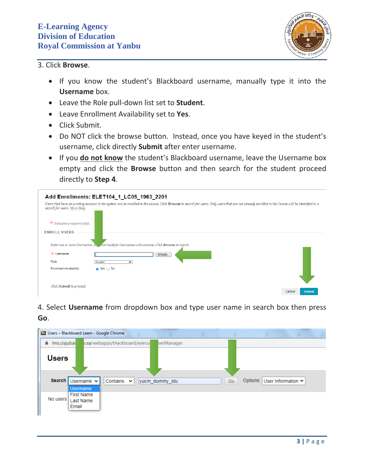

#### 3. Click **Browse**.

- If you know the student's Blackboard username, manually type it into the **Username** box.
- Leave the Role pull-down list set to **Student**.
- Leave Enrollment Availability set to **Yes**.
- Click Submit.
- Do NOT click the browse button. Instead, once you have keyed in the student's username, click directly **Submit** after enter username.
- **If you do not know** the student's Blackboard username, leave the Username box empty and click the **Browse** button and then search for the student proceed directly to **Step 4**.

|                                 | Add Enrollments: ELET104_1_LC05_1963_2201                                                                                                                                                         |                         |
|---------------------------------|---------------------------------------------------------------------------------------------------------------------------------------------------------------------------------------------------|-------------------------|
| search for users. More Help     | Users that have an existing account in the system can be enrolled in the course. Click Browse to search for users. Only users that are not already enrolled in the Course will be identified in a |                         |
| $*$ Indicates a required field. |                                                                                                                                                                                                   |                         |
| <b>ENROLL USERS</b>             |                                                                                                                                                                                                   |                         |
|                                 | Enter one or more Usernames. Se, rate multiple Usernames with commas. Click Browse to search.                                                                                                     |                         |
| * Username                      | Browse                                                                                                                                                                                            |                         |
| Role                            | Student<br>$\checkmark$                                                                                                                                                                           |                         |
| <b>Enrollment Availability</b>  | $\bullet$ Yes $\circ$ No                                                                                                                                                                          |                         |
|                                 |                                                                                                                                                                                                   |                         |
| Click Submit to proceed.        |                                                                                                                                                                                                   | <b>Submit</b><br>Cancel |

# 4. Select **Username** from dropdown box and type user name in search box then press **Go**.

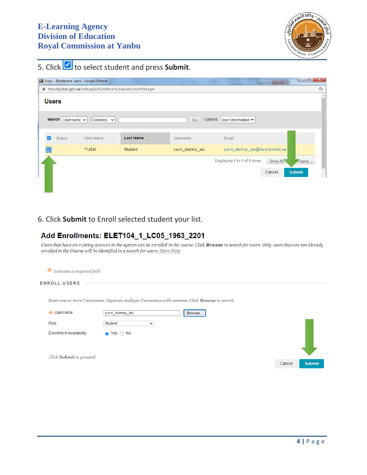

5. Click to select student and press Submit.

|               |                 | <b>BB</b> Users - Blackboard Learn - Google Chrome         |                              |                |                                 |          | $\blacksquare$ $\blacksquare$ | $\mathbf{x}$ |
|---------------|-----------------|------------------------------------------------------------|------------------------------|----------------|---------------------------------|----------|-------------------------------|--------------|
|               |                 | ms.cisjubail.gov.sa/webapps/blackboard/execute/userManager |                              |                |                                 |          |                               | $\Theta$     |
| <b>Users</b>  |                 |                                                            |                              |                |                                 |          |                               |              |
| <b>Search</b> | Username $\sim$ | Contains $\sim$                                            |                              | Go             | Options: User Information ↓     |          |                               |              |
| M             | <b>Status</b>   | <b>First Name</b>                                          | <b>Last Name</b> $\triangle$ | Username       | Email                           |          |                               |              |
| ☑             |                 | <b>YUCM</b>                                                | Student                      | yucm_dummy_stu | yucm dummy stu@stu.rcyci.edu.sa |          |                               |              |
|               |                 |                                                            |                              |                | Displaying 1 to 1 of 1 items    | Show All | $P$ aging                     |              |
|               |                 |                                                            |                              |                |                                 | Cancel   | <b>Submit</b>                 |              |
|               |                 |                                                            |                              |                |                                 |          |                               |              |
|               |                 |                                                            |                              |                |                                 |          |                               |              |

# 6. Click **Submit** to Enroll selected student your list.

## Add Enrollments: ELET104\_1\_LC05\_1963\_2201

Users that have an existing account in the system can be enrolled in the course. Click **Browse** to search for users. Only users that are not already enrolled in the Course will be identified in a search for users. More Help

| $\star$ Indicates a required field. |                                                                                               |        |               |  |  |  |
|-------------------------------------|-----------------------------------------------------------------------------------------------|--------|---------------|--|--|--|
| <b>ENROLL USERS</b>                 |                                                                                               |        |               |  |  |  |
|                                     | Enter one or more Usernames. Separate multiple Usernames with commas. Click Browse to search. |        |               |  |  |  |
| * Username                          | yucm_dummy_stu<br>Browse                                                                      |        |               |  |  |  |
| Role                                | Student<br>$\check{ }$                                                                        |        |               |  |  |  |
| <b>Enrollment Availability</b>      | Yes $\bigcirc$ No<br>$\bullet$                                                                |        |               |  |  |  |
| Click Submit to proceed.            |                                                                                               | Cancel | <b>Submit</b> |  |  |  |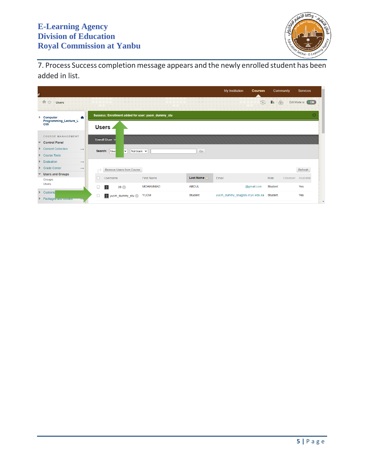

7. Process Success completion message appears and the newly enrolled student has been added in list.

| R |                                          |               |     |               |                          |                                                    |                       | My Institution                  | <b>Courses</b>          |           | Community  | <b>Services</b>     |
|---|------------------------------------------|---------------|-----|---------------|--------------------------|----------------------------------------------------|-----------------------|---------------------------------|-------------------------|-----------|------------|---------------------|
|   | 合创<br><b>Users</b>                       |               |     |               |                          |                                                    |                       |                                 | $\widehat{\mathcal{C}}$ | <b>IR</b> | $\sqrt{2}$ | Edit Mode is: (OON) |
|   | $\blacktriangleright$ Computer<br>₳      |               |     |               |                          | Success: Enrollment added for user: yucm_dummy_stu |                       |                                 |                         |           |            | $\odot$             |
|   | Programming Lecture L<br>C <sub>05</sub> |               |     | Users         |                          |                                                    |                       |                                 |                         |           |            |                     |
|   | <b>COURSE MANAGEMENT</b>                 |               |     | Enroll User v |                          |                                                    |                       |                                 |                         |           |            |                     |
|   | <b>Control Panel</b>                     |               |     |               |                          |                                                    |                       |                                 |                         |           |            |                     |
|   | <b>Content Collection</b>                | $\rightarrow$ |     | Search: User  | ◡<br>Not blank $\sim$    |                                                    | Go                    |                                 |                         |           |            |                     |
|   | <b>Course Tools</b>                      |               |     |               |                          |                                                    |                       |                                 |                         |           |            |                     |
|   | Evaluation                               | $\rightarrow$ |     |               |                          |                                                    |                       |                                 |                         |           |            |                     |
|   | <b>Grade Center</b>                      | $\rightarrow$ |     |               | Remove Users from Course |                                                    |                       |                                 |                         |           |            | Refresh             |
|   | <b>Users and Groups</b>                  |               |     |               |                          |                                                    |                       |                                 |                         |           |            |                     |
|   | Groups                                   |               |     | Username      |                          | First Name                                         | Last Name $\triangle$ | Email                           |                         | Role      |            | Observer Available  |
|   | <b>Users</b>                             |               | - 1 | Ω             | 28                       | <b>MOHAMMAD</b>                                    | <b>ABDUL</b>          |                                 | @gmail.com              | Student   |            | Yes                 |
|   | Customiz<br>Packages and others          |               | U   |               | View yucm_dummy_stu      | <b>YUCM</b>                                        | <b>Student</b>        | yucm dummy stu@stu.rcyci.edu.sa |                         | Student   |            | Yes                 |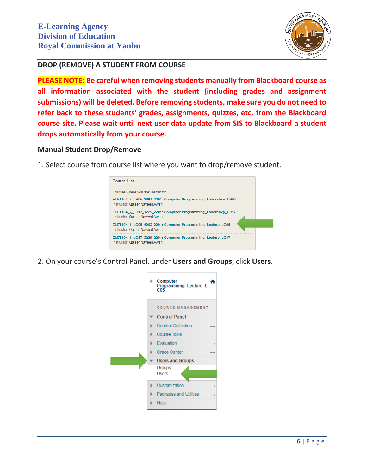

# **DROP (REMOVE) A STUDENT FROM COURSE**

**PLEASE NOTE: Be careful when removing students manually from Blackboard course as all information associated with the student (including grades and assignment submissions) will be deleted. Before removing students, make sure you do not need to refer back to these students' grades, assignments, quizzes, etc. from the Blackboard course site. Please wait until next user data update from SIS to Blackboard a student drops automatically from your course.**

#### **Manual Student Drop/Remove**

1. Select course from course list where you want to drop/remove student.



2. On your course's Control Panel, under **Users and Groups**, click **Users**.

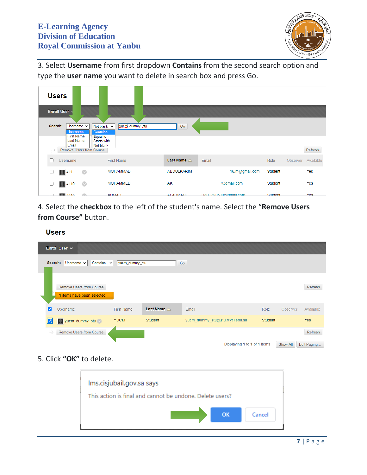

3. Select **Username** from first dropdown **Contains** from the second search option and type the **user name** you want to delete in search box and press Go.

|         | <b>Users</b>                                            |                |                                                                   |                              |                      |         |                    |            |
|---------|---------------------------------------------------------|----------------|-------------------------------------------------------------------|------------------------------|----------------------|---------|--------------------|------------|
|         | <b>Enroll User</b>                                      |                |                                                                   |                              |                      |         |                    |            |
| Search: | Username $\sim$<br><b>Username</b><br><b>First Name</b> |                | yucm_dummy_stu<br>Not blank $\sim$<br><b>Contains</b><br>Equal to | Go                           |                      |         |                    |            |
|         | Last Name<br>Email<br><b>Remove Users from Course</b>   |                | Starts with<br>Not blank                                          |                              |                      |         |                    | Refresh    |
|         | <b>Username</b>                                         |                | <b>First Name</b>                                                 | <b>Last Name</b> $\triangle$ | Email                | Role    | Observer Available |            |
| г       | <b>Q</b> 411                                            | $\circ$        | <b>MOHAMMAD</b>                                                   | <b>ABDULKARIM</b>            | 16.m@gmail.com       | Student |                    | Yes        |
| L       | <b>Q</b> 4110                                           | $\circledcirc$ | <b>MOHAMMED</b>                                                   | AK                           | @gmail.com           | Student |                    | Yes        |
|         | A440                                                    | m              | <b>AHMAD</b>                                                      | ΔΙ ΔΗΜΔΠΕ                    | Ho0Odv0500@gmail.com | Student |                    | <b>Yes</b> |

4. Select the **checkbox** to the left of the student's name. Select the "**Remove Users from Course"** button.

#### **Users**

| Enroll User v                                                  |                   |                       |                                 |                |          |             |
|----------------------------------------------------------------|-------------------|-----------------------|---------------------------------|----------------|----------|-------------|
| Contains $\sim$<br>Search:<br>Username $\sim$                  | yucm_dummy_stu    |                       | Go                              |                |          |             |
| <b>Remove Users from Course</b><br>1 items have been selected. |                   |                       |                                 |                |          | Refresh     |
| <b>Username</b><br>◡                                           | <b>First Name</b> | Last Name $\triangle$ | Email                           | Role           | Observer | Available   |
| yucm_dummy_stu                                                 | <b>YUCM</b>       | Student               | yucm_dummy_stu@stu.rcyci.edu.sa | <b>Student</b> |          | <b>Yes</b>  |
| <b>Remove Users from Course</b>                                |                   |                       |                                 |                |          | Refresh     |
|                                                                |                   |                       | Displaying 1 to 1 of 1 items    |                | Show All | Edit Paging |

# 5. Click **"OK"** to delete.